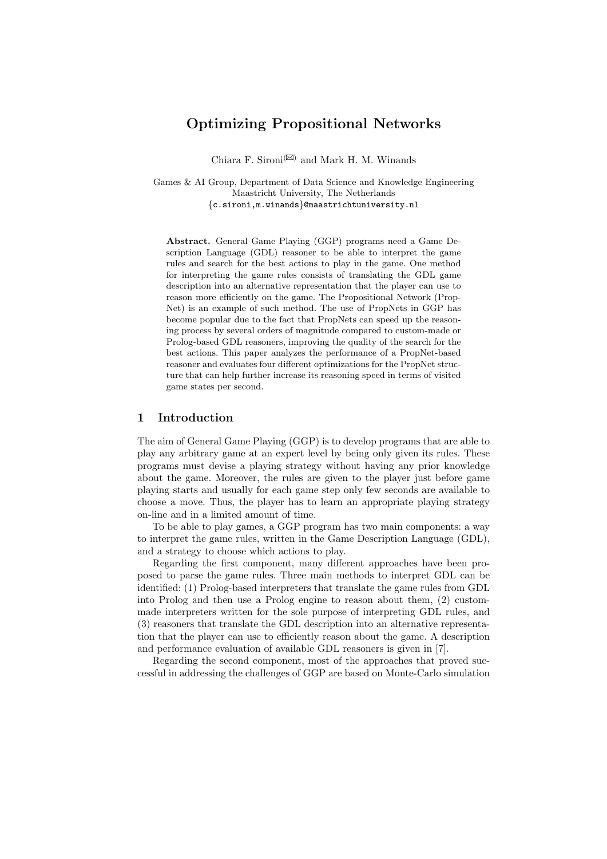# **Optimizing Propositional Networks**

Chiara F. Sironi<sup>( $\boxtimes$ )</sup> and Mark H. M. Winands

Games & AI Group, Department of Data Science and Knowledge Engineering Maastricht University, The Netherlands *{*c.sironi,m.winands*}*@maastrichtuniversity.nl

**Abstract.** General Game Playing (GGP) programs need a Game Description Language (GDL) reasoner to be able to interpret the game rules and search for the best actions to play in the game. One method for interpreting the game rules consists of translating the GDL game description into an alternative representation that the player can use to reason more efficiently on the game. The Propositional Network (Prop-Net) is an example of such method. The use of PropNets in GGP has become popular due to the fact that PropNets can speed up the reasoning process by several orders of magnitude compared to custom-made or Prolog-based GDL reasoners, improving the quality of the search for the best actions. This paper analyzes the performance of a PropNet-based reasoner and evaluates four different optimizations for the PropNet structure that can help further increase its reasoning speed in terms of visited game states per second.

# **1 Introduction**

The aim of General Game Playing (GGP) is to develop programs that are able to play any arbitrary game at an expert level by being only given its rules. These programs must devise a playing strategy without having any prior knowledge about the game. Moreover, the rules are given to the player just before game playing starts and usually for each game step only few seconds are available to choose a move. Thus, the player has to learn an appropriate playing strategy on-line and in a limited amount of time.

To be able to play games, a GGP program has two main components: a way to interpret the game rules, written in the Game Description Language (GDL), and a strategy to choose which actions to play.

Regarding the first component, many different approaches have been proposed to parse the game rules. Three main methods to interpret GDL can be identified: (1) Prolog-based interpreters that translate the game rules from GDL into Prolog and then use a Prolog engine to reason about them, (2) custommade interpreters written for the sole purpose of interpreting GDL rules, and (3) reasoners that translate the GDL description into an alternative representation that the player can use to efficiently reason about the game. A description and performance evaluation of available GDL reasoners is given in [7].

Regarding the second component, most of the approaches that proved successful in addressing the challenges of GGP are based on Monte-Carlo simulation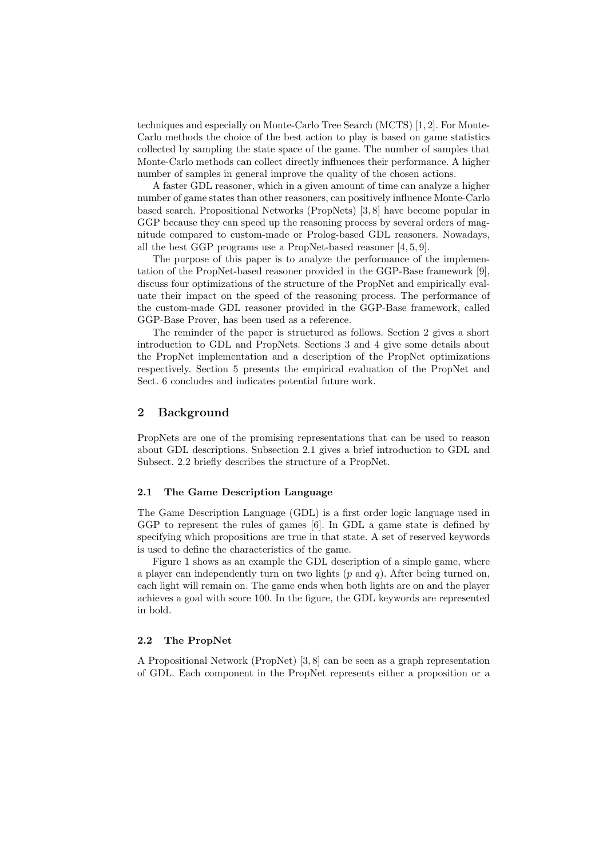techniques and especially on Monte-Carlo Tree Search (MCTS) [1, 2]. For Monte-Carlo methods the choice of the best action to play is based on game statistics collected by sampling the state space of the game. The number of samples that Monte-Carlo methods can collect directly influences their performance. A higher number of samples in general improve the quality of the chosen actions.

A faster GDL reasoner, which in a given amount of time can analyze a higher number of game states than other reasoners, can positively influence Monte-Carlo based search. Propositional Networks (PropNets) [3, 8] have become popular in GGP because they can speed up the reasoning process by several orders of magnitude compared to custom-made or Prolog-based GDL reasoners. Nowadays, all the best GGP programs use a PropNet-based reasoner [4, 5, 9].

The purpose of this paper is to analyze the performance of the implementation of the PropNet-based reasoner provided in the GGP-Base framework [9], discuss four optimizations of the structure of the PropNet and empirically evaluate their impact on the speed of the reasoning process. The performance of the custom-made GDL reasoner provided in the GGP-Base framework, called GGP-Base Prover, has been used as a reference.

The reminder of the paper is structured as follows. Section 2 gives a short introduction to GDL and PropNets. Sections 3 and 4 give some details about the PropNet implementation and a description of the PropNet optimizations respectively. Section 5 presents the empirical evaluation of the PropNet and Sect. 6 concludes and indicates potential future work.

### **2 Background**

PropNets are one of the promising representations that can be used to reason about GDL descriptions. Subsection 2.1 gives a brief introduction to GDL and Subsect. 2.2 briefly describes the structure of a PropNet.

### **2.1 The Game Description Language**

The Game Description Language (GDL) is a first order logic language used in GGP to represent the rules of games [6]. In GDL a game state is defined by specifying which propositions are true in that state. A set of reserved keywords is used to define the characteristics of the game.

Figure 1 shows as an example the GDL description of a simple game, where a player can independently turn on two lights (*p* and *q*). After being turned on, each light will remain on. The game ends when both lights are on and the player achieves a goal with score 100. In the figure, the GDL keywords are represented in bold.

#### **2.2 The PropNet**

A Propositional Network (PropNet) [3, 8] can be seen as a graph representation of GDL. Each component in the PropNet represents either a proposition or a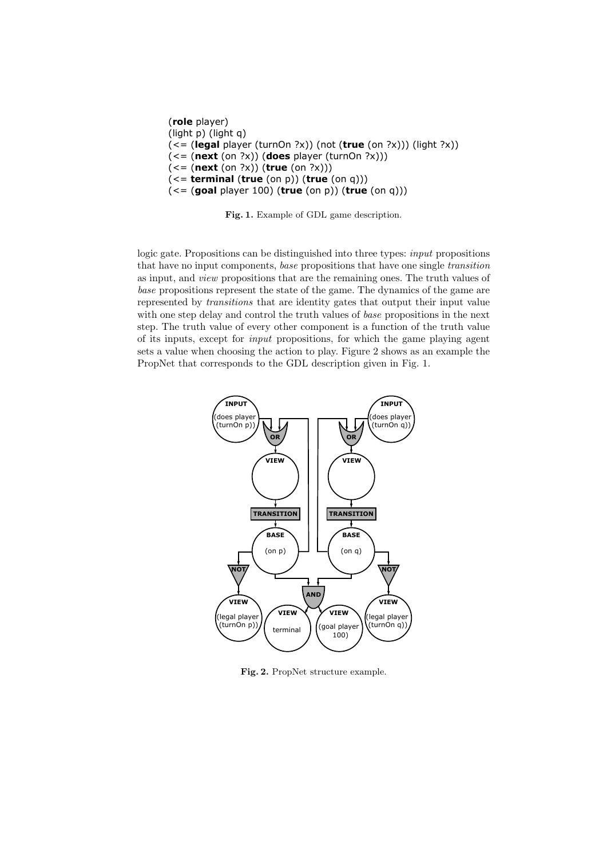```
(role player)
(light p) (light q)
(<= (legal player (turnOn ?x)) (not (true (on ?x))) (light ?x))
(<= (next (on ?x)) (does player (turnOn ?x)))
(<= (next (on ?x)) (true (on ?x)))
(<= terminal (true (on p)) (true (on q)))
(<= (goal player 100) (true (on p)) (true (on q)))
```
**Fig. 1.** Example of GDL game description.

logic gate. Propositions can be distinguished into three types: *input* propositions that have no input components, *base* propositions that have one single *transition* as input, and *view* propositions that are the remaining ones. The truth values of *base* propositions represent the state of the game. The dynamics of the game are represented by *transitions* that are identity gates that output their input value with one step delay and control the truth values of *base* propositions in the next step. The truth value of every other component is a function of the truth value of its inputs, except for *input* propositions, for which the game playing agent sets a value when choosing the action to play. Figure 2 shows as an example the PropNet that corresponds to the GDL description given in Fig. 1.



**Fig. 2.** PropNet structure example.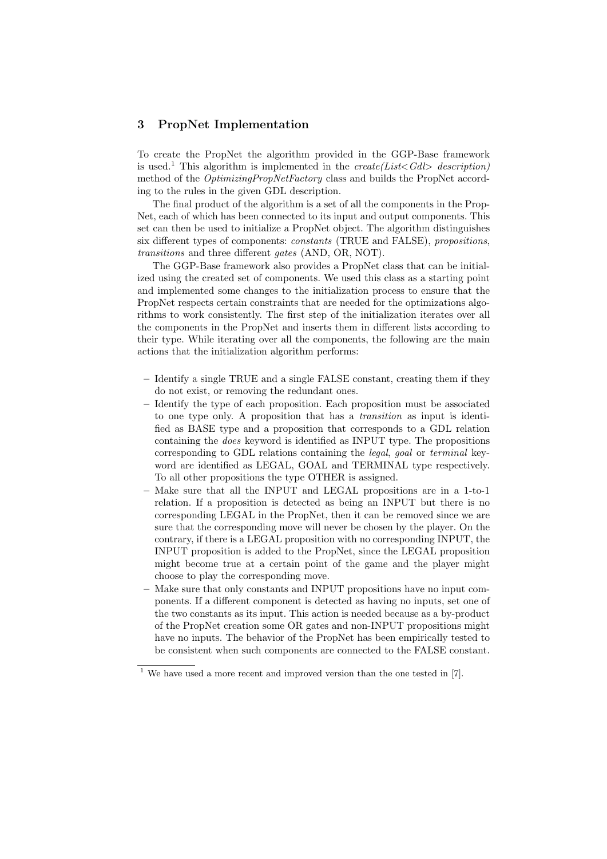## **3 PropNet Implementation**

To create the PropNet the algorithm provided in the GGP-Base framework is used.<sup>1</sup> This algorithm is implemented in the *create(List<Gdl> description)* method of the *OptimizingPropNetFactory* class and builds the PropNet according to the rules in the given GDL description.

The final product of the algorithm is a set of all the components in the Prop-Net, each of which has been connected to its input and output components. This set can then be used to initialize a PropNet object. The algorithm distinguishes six different types of components: *constants* (TRUE and FALSE), *propositions*, *transitions* and three different *gates* (AND, OR, NOT).

The GGP-Base framework also provides a PropNet class that can be initialized using the created set of components. We used this class as a starting point and implemented some changes to the initialization process to ensure that the PropNet respects certain constraints that are needed for the optimizations algorithms to work consistently. The first step of the initialization iterates over all the components in the PropNet and inserts them in different lists according to their type. While iterating over all the components, the following are the main actions that the initialization algorithm performs:

- **–** Identify a single TRUE and a single FALSE constant, creating them if they do not exist, or removing the redundant ones.
- **–** Identify the type of each proposition. Each proposition must be associated to one type only. A proposition that has a *transition* as input is identified as BASE type and a proposition that corresponds to a GDL relation containing the *does* keyword is identified as INPUT type. The propositions corresponding to GDL relations containing the *legal*, *goal* or *terminal* keyword are identified as LEGAL, GOAL and TERMINAL type respectively. To all other propositions the type OTHER is assigned.
- **–** Make sure that all the INPUT and LEGAL propositions are in a 1-to-1 relation. If a proposition is detected as being an INPUT but there is no corresponding LEGAL in the PropNet, then it can be removed since we are sure that the corresponding move will never be chosen by the player. On the contrary, if there is a LEGAL proposition with no corresponding INPUT, the INPUT proposition is added to the PropNet, since the LEGAL proposition might become true at a certain point of the game and the player might choose to play the corresponding move.
- **–** Make sure that only constants and INPUT propositions have no input components. If a different component is detected as having no inputs, set one of the two constants as its input. This action is needed because as a by-product of the PropNet creation some OR gates and non-INPUT propositions might have no inputs. The behavior of the PropNet has been empirically tested to be consistent when such components are connected to the FALSE constant.

<sup>&</sup>lt;sup>1</sup> We have used a more recent and improved version than the one tested in [7].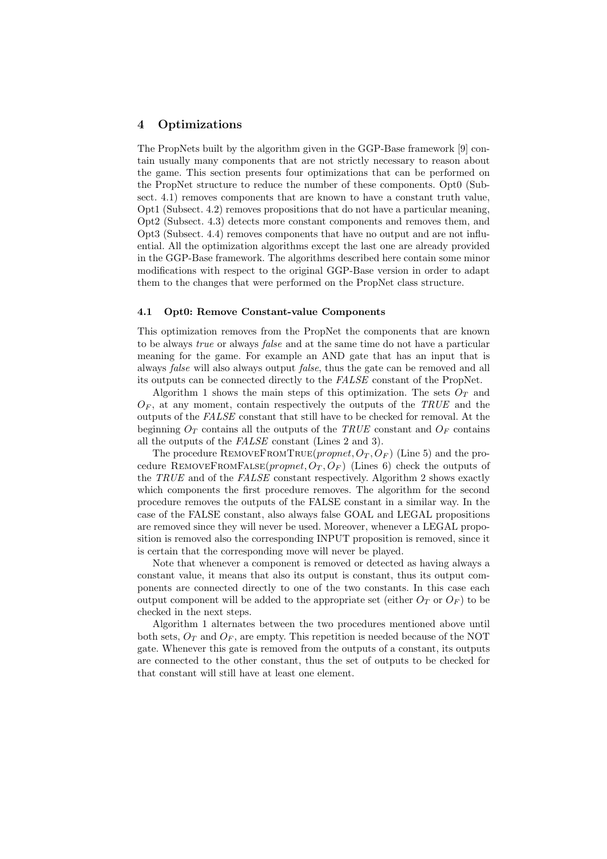## **4 Optimizations**

The PropNets built by the algorithm given in the GGP-Base framework [9] contain usually many components that are not strictly necessary to reason about the game. This section presents four optimizations that can be performed on the PropNet structure to reduce the number of these components. Opt0 (Subsect. 4.1) removes components that are known to have a constant truth value, Opt1 (Subsect. 4.2) removes propositions that do not have a particular meaning, Opt2 (Subsect. 4.3) detects more constant components and removes them, and Opt3 (Subsect. 4.4) removes components that have no output and are not influential. All the optimization algorithms except the last one are already provided in the GGP-Base framework. The algorithms described here contain some minor modifications with respect to the original GGP-Base version in order to adapt them to the changes that were performed on the PropNet class structure.

#### **4.1 Opt0: Remove Constant-value Components**

This optimization removes from the PropNet the components that are known to be always *true* or always *false* and at the same time do not have a particular meaning for the game. For example an AND gate that has an input that is always *false* will also always output *false*, thus the gate can be removed and all its outputs can be connected directly to the *FALSE* constant of the PropNet.

Algorithm 1 shows the main steps of this optimization. The sets  $O_T$  and *O<sup>F</sup>* , at any moment, contain respectively the outputs of the *TRUE* and the outputs of the *FALSE* constant that still have to be checked for removal. At the beginning  $O_T$  contains all the outputs of the *TRUE* constant and  $O_F$  contains all the outputs of the *FALSE* constant (Lines 2 and 3).

The procedure REMOVEFROMTRUE(*propnet*,  $O_T$ ,  $O_F$ ) (Line 5) and the procedure REMOVEFROMFALSE(*propnet*,  $O_T$ ,  $O_F$ ) (Lines 6) check the outputs of the *TRUE* and of the *FALSE* constant respectively. Algorithm 2 shows exactly which components the first procedure removes. The algorithm for the second procedure removes the outputs of the FALSE constant in a similar way. In the case of the FALSE constant, also always false GOAL and LEGAL propositions are removed since they will never be used. Moreover, whenever a LEGAL proposition is removed also the corresponding INPUT proposition is removed, since it is certain that the corresponding move will never be played.

Note that whenever a component is removed or detected as having always a constant value, it means that also its output is constant, thus its output components are connected directly to one of the two constants. In this case each output component will be added to the appropriate set (either  $O_T$  or  $O_F$ ) to be checked in the next steps.

Algorithm 1 alternates between the two procedures mentioned above until both sets,  $O_T$  and  $O_F$ , are empty. This repetition is needed because of the NOT gate. Whenever this gate is removed from the outputs of a constant, its outputs are connected to the other constant, thus the set of outputs to be checked for that constant will still have at least one element.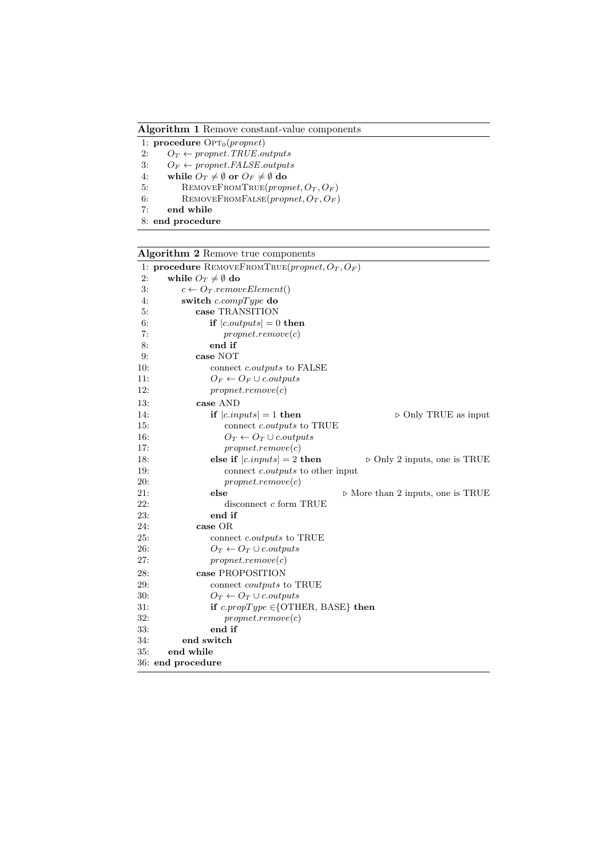| Algorithm 1 Remove constant-value components |  |  |
|----------------------------------------------|--|--|
|----------------------------------------------|--|--|

1: **procedure**  $\text{OPT}_0(propnet)$ <br>2:  $O_T \leftarrow propnet \cdot TRUE \cdot \text{OPT}_0$ 2:  $O_T \leftarrow prompt \cdot TRUE \cdot outputs$ <br>3:  $O_F \leftarrow prompt \cdot FALSE \cdot outputs$ 3: *O<sup>F</sup> ← propnet.FALSE.outputs*  $4:$  **while**  $O_T \neq \emptyset$  or  $O_F \neq \emptyset$  do 5: REMOVEFROMTRUE(*propnet*,  $O_T$ ,  $O_F$ )<br>6: REMOVEFROMFALSE(*propnet*,  $O_T$ ,  $O_F$ ) 6: REMOVEFROMFALSE $(propnet, O_T, O_F)$ <br>7: end while end while 8: **end procedure**

# **Algorithm 2** Remove true components

|     | 1: <b>procedure</b> REMOVEFROMTRUE( <i>propnet</i> , $O_T$ , $O_F$ )         |
|-----|------------------------------------------------------------------------------|
| 2:  | while $O_T \neq \emptyset$ do                                                |
| 3:  | $c \leftarrow O_T$ .removeElement()                                          |
| 4:  | switch c.compType do                                                         |
| 5:  | case TRANSITION                                                              |
| 6:  | if $ c.out puts  = 0$ then                                                   |
| 7:  | propret. remove(c)                                                           |
| 8:  | end if                                                                       |
| 9:  | case NOT                                                                     |
| 10: | connect <i>c.outputs</i> to FALSE                                            |
| 11: | $O_F \leftarrow O_F \cup c.outputs$                                          |
| 12: | propret. remove(c)                                                           |
| 13: | case AND                                                                     |
| 14: | if $ c\text{.inputs}  = 1$ then<br>$\triangleright$ Only TRUE as input       |
| 15: | connect <i>c.outputs</i> to TRUE                                             |
| 16: | $O_T \leftarrow O_T \cup c.out puts$                                         |
| 17: | propret. remove(c)                                                           |
| 18: | else if $ c.inputs  = 2$ then<br>$\triangleright$ Only 2 inputs, one is TRUE |
| 19: | connect <i>c.outputs</i> to other input                                      |
| 20: | propret. remove(c)                                                           |
| 21: | else<br>$\triangleright$ More than 2 inputs, one is TRUE                     |
| 22: | disconnect $c$ form TRUE                                                     |
| 23: | end if                                                                       |
| 24: | case OR                                                                      |
| 25: | connect <i>c.outputs</i> to TRUE                                             |
| 26: | $O_T \leftarrow O_T \cup c.out puts$                                         |
| 27: | propret. remove(c)                                                           |
| 28: | case PROPOSITION                                                             |
| 29: | connect <i>coutputs</i> to TRUE                                              |
| 30: | $O_T \leftarrow O_T \cup c.out puts$                                         |
| 31: | if c.propType $\in$ {OTHER, BASE} then                                       |
| 32: | $prompt$ .remove $(c)$                                                       |
| 33: | end if                                                                       |
| 34: | end switch                                                                   |
| 35: | end while                                                                    |
|     | 36: end procedure                                                            |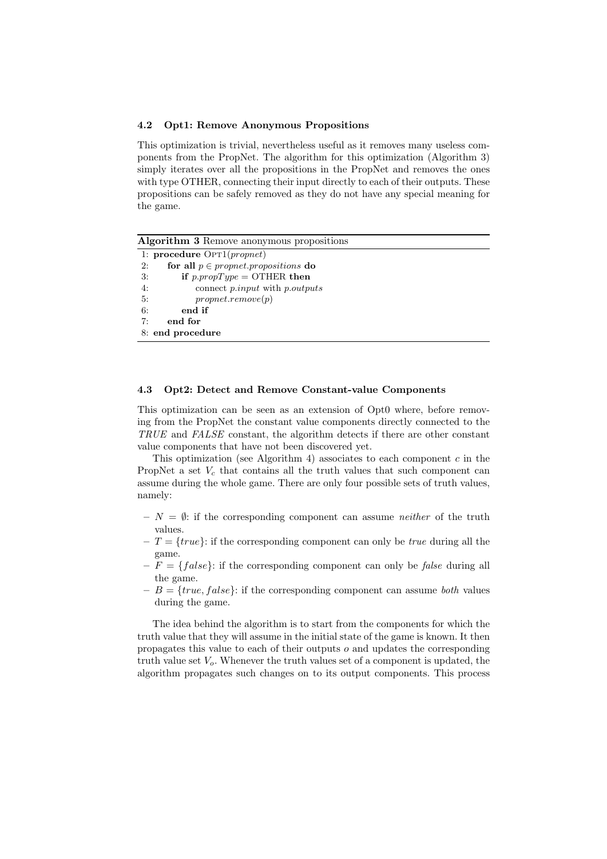#### **4.2 Opt1: Remove Anonymous Propositions**

This optimization is trivial, nevertheless useful as it removes many useless components from the PropNet. The algorithm for this optimization (Algorithm 3) simply iterates over all the propositions in the PropNet and removes the ones with type OTHER, connecting their input directly to each of their outputs. These propositions can be safely removed as they do not have any special meaning for the game.

**Algorithm 3** Remove anonymous propositions 1: **procedure**  $\text{Opt1}(prompt)$ 2: **for all**  $p \in prompt$ *,propositions* **do** 3: **if** *p.propT ype* = OTHER **then** 4: connect *p.input* with *p.outputs* 5: *propnet.remove*(*p*) 6: **end if** 7: **end for** 8: **end procedure**

#### **4.3 Opt2: Detect and Remove Constant-value Components**

This optimization can be seen as an extension of Opt0 where, before removing from the PropNet the constant value components directly connected to the *TRUE* and *FALSE* constant, the algorithm detects if there are other constant value components that have not been discovered yet.

This optimization (see Algorithm 4) associates to each component *c* in the PropNet a set  $V_c$  that contains all the truth values that such component can assume during the whole game. There are only four possible sets of truth values, namely:

- $N = \emptyset$ : if the corresponding component can assume *neither* of the truth values.
- $-\mathit{T} = \{true\}$ : if the corresponding component can only be *true* during all the game.
- $-F = \{false\}$ : if the corresponding component can only be *false* during all the game.
- $B = \{true, false\}$ : if the corresponding component can assume *both* values during the game.

The idea behind the algorithm is to start from the components for which the truth value that they will assume in the initial state of the game is known. It then propagates this value to each of their outputs *o* and updates the corresponding truth value set  $V<sub>o</sub>$ . Whenever the truth values set of a component is updated, the algorithm propagates such changes on to its output components. This process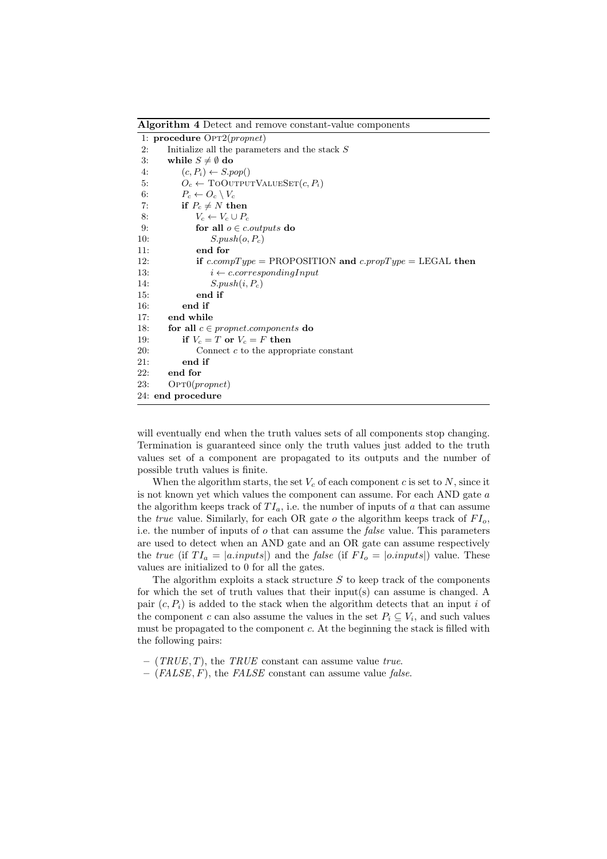**Algorithm 4** Detect and remove constant-value components

1: **procedure** Opt2(*propnet*) 2: Initialize all the parameters and the stack *S* 3: while  $S \neq \emptyset$  do 4:  $(c, P_i) \leftarrow S.pop()$ 5:  $O_c \leftarrow \text{TOOUTPUTVALUESET}(c, P_i)$ 6:  $P_c \leftarrow O_c \setminus V_c$ 7: **if**  $P_c \neq N$  **then** 8:  $V_c \leftarrow V_c \cup P_c$ 9: **for all**  $o \in$  *c.outputs* **do** 10: *S.push*(*o, Pc*) 11: **end for** 12: **if**  $c \text{.compType} = \text{PROPOSITION}$  and  $c \text{.propType} = \text{LEGAL}$  then 13:  $i \leftarrow c \text{.} correspondingInput$ 14: *S.push*(*i, Pc*) 15: **end if** 16: **end if** 17: **end while** 18: **for all**  $c \in prompt-components$  **do** 19: **if**  $V_c = T$  or  $V_c = F$  then 20: Connect *c* to the appropriate constant 21: **end if** 22: **end for** 23: Opt0(*propnet*) 24: **end procedure**

will eventually end when the truth values sets of all components stop changing. Termination is guaranteed since only the truth values just added to the truth values set of a component are propagated to its outputs and the number of possible truth values is finite.

When the algorithm starts, the set  $V_c$  of each component  $c$  is set to  $N$ , since it is not known yet which values the component can assume. For each AND gate *a* the algorithm keeps track of  $TI_a$ , i.e. the number of inputs of  $a$  that can assume the *true* value. Similarly, for each OR gate  $o$  the algorithm keeps track of  $FI_o$ , i.e. the number of inputs of *o* that can assume the *false* value. This parameters are used to detect when an AND gate and an OR gate can assume respectively the *true* (if  $TI_a = |a.inputs|$ ) and the *false* (if  $FI_o = |o.inputs|$ ) value. These values are initialized to 0 for all the gates.

The algorithm exploits a stack structure *S* to keep track of the components for which the set of truth values that their input(s) can assume is changed. A pair  $(c, P_i)$  is added to the stack when the algorithm detects that an input *i* of the component *c* can also assume the values in the set  $P_i \subseteq V_i$ , and such values must be propagated to the component *c*. At the beginning the stack is filled with the following pairs:

- **–** (*TRUE, T*), the *TRUE* constant can assume value *true*.
- **–** (*FALSE, F*), the *FALSE* constant can assume value *false*.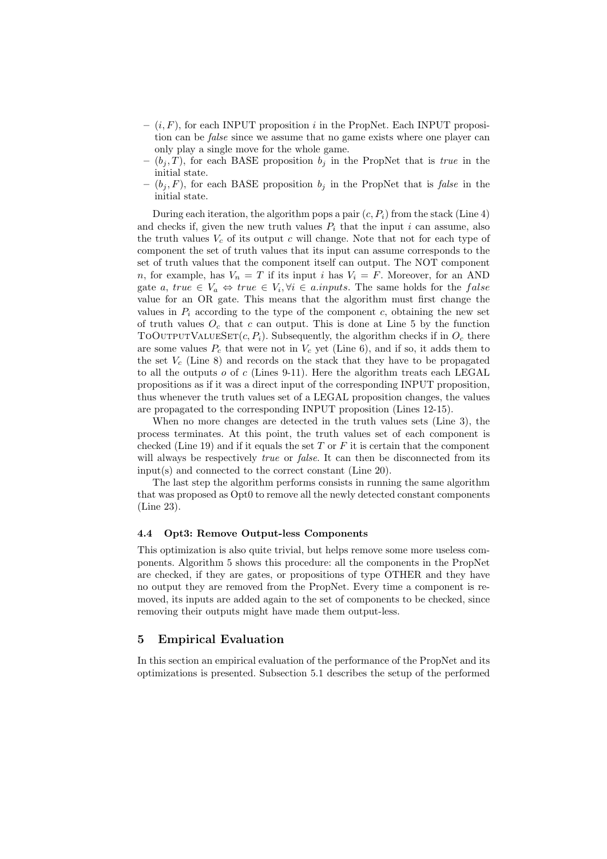- **–** (*i, F*), for each INPUT proposition *i* in the PropNet. Each INPUT proposition can be *false* since we assume that no game exists where one player can only play a single move for the whole game.
- $(b_j, T)$ , for each BASE proposition  $b_j$  in the PropNet that is *true* in the initial state.
- $(b_i, F)$ , for each BASE proposition  $b_i$  in the PropNet that is *false* in the initial state.

During each iteration, the algorithm pops a pair  $(c, P_i)$  from the stack (Line 4) and checks if, given the new truth values  $P_i$  that the input  $i$  can assume, also the truth values  $V_c$  of its output  $c$  will change. Note that not for each type of component the set of truth values that its input can assume corresponds to the set of truth values that the component itself can output. The NOT component *n*, for example, has  $V_n = T$  if its input *i* has  $V_i = F$ . Moreover, for an AND gate *a*,  $true \in V_a \Leftrightarrow true \in V_i, \forall i \in \text{a.}$  *inputs*. The same holds for the *false* value for an OR gate. This means that the algorithm must first change the values in  $P_i$  according to the type of the component  $c$ , obtaining the new set of truth values  $O_c$  that  $c$  can output. This is done at Line 5 by the function TOOUTPUTVALUESET $(c, P_i)$ . Subsequently, the algorithm checks if in  $O_c$  there are some values  $P_c$  that were not in  $V_c$  yet (Line 6), and if so, it adds them to the set  $V_c$  (Line 8) and records on the stack that they have to be propagated to all the outputs *o* of *c* (Lines 9-11). Here the algorithm treats each LEGAL propositions as if it was a direct input of the corresponding INPUT proposition, thus whenever the truth values set of a LEGAL proposition changes, the values are propagated to the corresponding INPUT proposition (Lines 12-15).

When no more changes are detected in the truth values sets (Line 3), the process terminates. At this point, the truth values set of each component is checked (Line 19) and if it equals the set  $T$  or  $F$  it is certain that the component will always be respectively *true* or *false*. It can then be disconnected from its input(s) and connected to the correct constant (Line 20).

The last step the algorithm performs consists in running the same algorithm that was proposed as Opt0 to remove all the newly detected constant components (Line 23).

## **4.4 Opt3: Remove Output-less Components**

This optimization is also quite trivial, but helps remove some more useless components. Algorithm 5 shows this procedure: all the components in the PropNet are checked, if they are gates, or propositions of type OTHER and they have no output they are removed from the PropNet. Every time a component is removed, its inputs are added again to the set of components to be checked, since removing their outputs might have made them output-less.

### **5 Empirical Evaluation**

In this section an empirical evaluation of the performance of the PropNet and its optimizations is presented. Subsection 5.1 describes the setup of the performed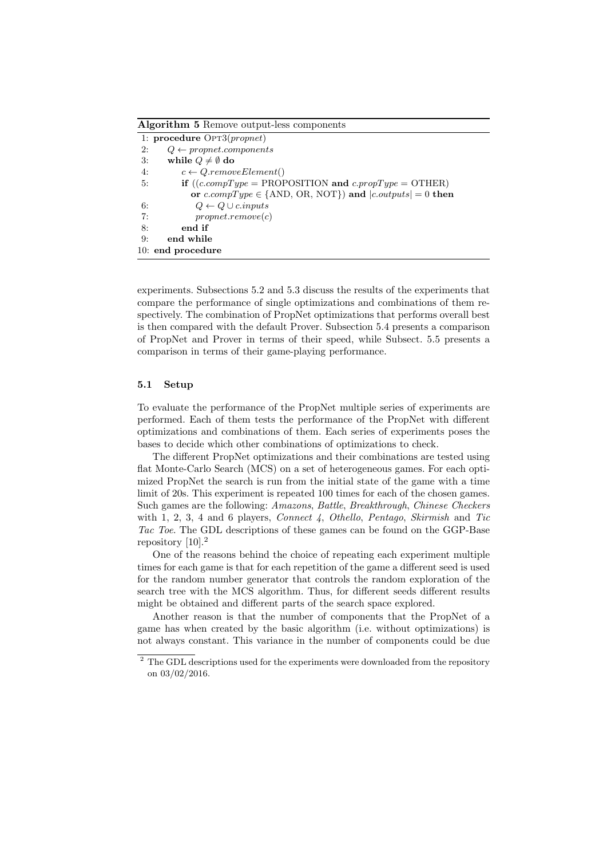**Algorithm 5** Remove output-less components

|    | 1: procedure $OPT3(propnet)$                                      |
|----|-------------------------------------------------------------------|
| 2: | $Q \leftarrow prompt. components$                                 |
| 3: | while $Q \neq \emptyset$ do                                       |
| 4: | $c \leftarrow Q$ .removeElement()                                 |
| 5: | if $((c.compType = PROPOSITION \textbf{ and } c.popType = OTHER)$ |
|    | or c.compType $\in$ {AND, OR, NOT}) and $ c.outputs  = 0$ then    |
| 6: | $Q \leftarrow Q \cup c.\text{inputs}$                             |
| 7: | propret. remove(c)                                                |
| 8: | end if                                                            |
| 9: | end while                                                         |
|    | 10: end procedure                                                 |
|    |                                                                   |

experiments. Subsections 5.2 and 5.3 discuss the results of the experiments that compare the performance of single optimizations and combinations of them respectively. The combination of PropNet optimizations that performs overall best is then compared with the default Prover. Subsection 5.4 presents a comparison of PropNet and Prover in terms of their speed, while Subsect. 5.5 presents a comparison in terms of their game-playing performance.

#### **5.1 Setup**

To evaluate the performance of the PropNet multiple series of experiments are performed. Each of them tests the performance of the PropNet with different optimizations and combinations of them. Each series of experiments poses the bases to decide which other combinations of optimizations to check.

The different PropNet optimizations and their combinations are tested using flat Monte-Carlo Search (MCS) on a set of heterogeneous games. For each optimized PropNet the search is run from the initial state of the game with a time limit of 20s. This experiment is repeated 100 times for each of the chosen games. Such games are the following: *Amazons*, *Battle*, *Breakthrough*, *Chinese Checkers* with 1, 2, 3, 4 and 6 players, *Connect 4*, *Othello*, *Pentago*, *Skirmish* and *Tic Tac Toe*. The GDL descriptions of these games can be found on the GGP-Base repository  $[10]$ .<sup>2</sup>

One of the reasons behind the choice of repeating each experiment multiple times for each game is that for each repetition of the game a different seed is used for the random number generator that controls the random exploration of the search tree with the MCS algorithm. Thus, for different seeds different results might be obtained and different parts of the search space explored.

Another reason is that the number of components that the PropNet of a game has when created by the basic algorithm (i.e. without optimizations) is not always constant. This variance in the number of components could be due

 $2$  The GDL descriptions used for the experiments were downloaded from the repository on 03/02/2016.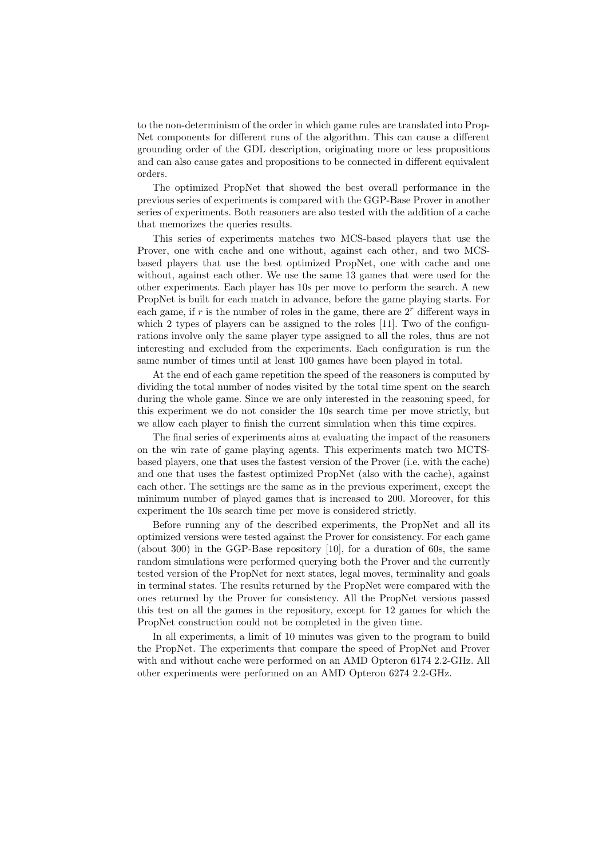to the non-determinism of the order in which game rules are translated into Prop-Net components for different runs of the algorithm. This can cause a different grounding order of the GDL description, originating more or less propositions and can also cause gates and propositions to be connected in different equivalent orders.

The optimized PropNet that showed the best overall performance in the previous series of experiments is compared with the GGP-Base Prover in another series of experiments. Both reasoners are also tested with the addition of a cache that memorizes the queries results.

This series of experiments matches two MCS-based players that use the Prover, one with cache and one without, against each other, and two MCSbased players that use the best optimized PropNet, one with cache and one without, against each other. We use the same 13 games that were used for the other experiments. Each player has 10s per move to perform the search. A new PropNet is built for each match in advance, before the game playing starts. For each game, if  $r$  is the number of roles in the game, there are  $2<sup>r</sup>$  different ways in which 2 types of players can be assigned to the roles [11]. Two of the configurations involve only the same player type assigned to all the roles, thus are not interesting and excluded from the experiments. Each configuration is run the same number of times until at least 100 games have been played in total.

At the end of each game repetition the speed of the reasoners is computed by dividing the total number of nodes visited by the total time spent on the search during the whole game. Since we are only interested in the reasoning speed, for this experiment we do not consider the 10s search time per move strictly, but we allow each player to finish the current simulation when this time expires.

The final series of experiments aims at evaluating the impact of the reasoners on the win rate of game playing agents. This experiments match two MCTSbased players, one that uses the fastest version of the Prover (i.e. with the cache) and one that uses the fastest optimized PropNet (also with the cache), against each other. The settings are the same as in the previous experiment, except the minimum number of played games that is increased to 200. Moreover, for this experiment the 10s search time per move is considered strictly.

Before running any of the described experiments, the PropNet and all its optimized versions were tested against the Prover for consistency. For each game (about 300) in the GGP-Base repository [10], for a duration of 60s, the same random simulations were performed querying both the Prover and the currently tested version of the PropNet for next states, legal moves, terminality and goals in terminal states. The results returned by the PropNet were compared with the ones returned by the Prover for consistency. All the PropNet versions passed this test on all the games in the repository, except for 12 games for which the PropNet construction could not be completed in the given time.

In all experiments, a limit of 10 minutes was given to the program to build the PropNet. The experiments that compare the speed of PropNet and Prover with and without cache were performed on an AMD Opteron 6174 2.2-GHz. All other experiments were performed on an AMD Opteron 6274 2.2-GHz.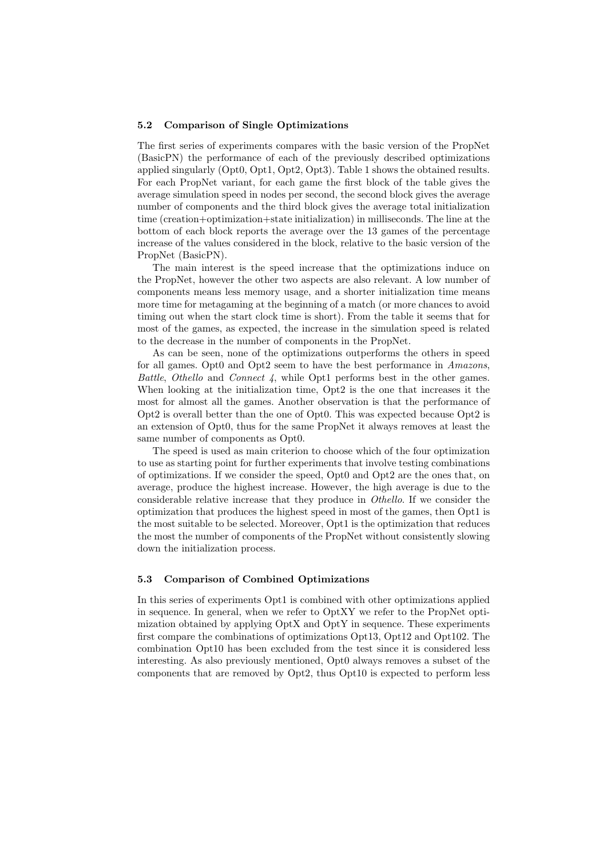#### **5.2 Comparison of Single Optimizations**

The first series of experiments compares with the basic version of the PropNet (BasicPN) the performance of each of the previously described optimizations applied singularly (Opt0, Opt1, Opt2, Opt3). Table 1 shows the obtained results. For each PropNet variant, for each game the first block of the table gives the average simulation speed in nodes per second, the second block gives the average number of components and the third block gives the average total initialization time (creation+optimization+state initialization) in milliseconds. The line at the bottom of each block reports the average over the 13 games of the percentage increase of the values considered in the block, relative to the basic version of the PropNet (BasicPN).

The main interest is the speed increase that the optimizations induce on the PropNet, however the other two aspects are also relevant. A low number of components means less memory usage, and a shorter initialization time means more time for metagaming at the beginning of a match (or more chances to avoid timing out when the start clock time is short). From the table it seems that for most of the games, as expected, the increase in the simulation speed is related to the decrease in the number of components in the PropNet.

As can be seen, none of the optimizations outperforms the others in speed for all games. Opt0 and Opt2 seem to have the best performance in *Amazons*, *Battle*, *Othello* and *Connect 4*, while Opt1 performs best in the other games. When looking at the initialization time, Opt2 is the one that increases it the most for almost all the games. Another observation is that the performance of Opt2 is overall better than the one of Opt0. This was expected because Opt2 is an extension of Opt0, thus for the same PropNet it always removes at least the same number of components as Opt0.

The speed is used as main criterion to choose which of the four optimization to use as starting point for further experiments that involve testing combinations of optimizations. If we consider the speed, Opt0 and Opt2 are the ones that, on average, produce the highest increase. However, the high average is due to the considerable relative increase that they produce in *Othello*. If we consider the optimization that produces the highest speed in most of the games, then Opt1 is the most suitable to be selected. Moreover, Opt1 is the optimization that reduces the most the number of components of the PropNet without consistently slowing down the initialization process.

#### **5.3 Comparison of Combined Optimizations**

In this series of experiments Opt1 is combined with other optimizations applied in sequence. In general, when we refer to OptXY we refer to the PropNet optimization obtained by applying OptX and OptY in sequence. These experiments first compare the combinations of optimizations Opt13, Opt12 and Opt102. The combination Opt10 has been excluded from the test since it is considered less interesting. As also previously mentioned, Opt0 always removes a subset of the components that are removed by Opt2, thus Opt10 is expected to perform less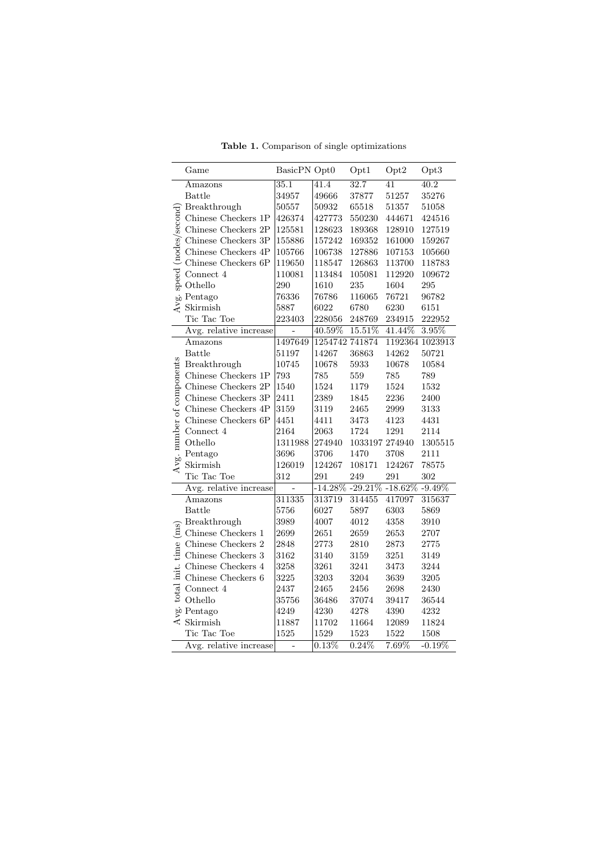|                           | Game                    | BasicPN Opt0             |                | Opt1                                 | Opt2            | Opt3              |
|---------------------------|-------------------------|--------------------------|----------------|--------------------------------------|-----------------|-------------------|
|                           | Amazons                 | 35.1                     | 41.4           | 32.7                                 | $\overline{41}$ | $\overline{40.2}$ |
| speed (nodes/second)      | <b>Battle</b>           | 34957                    | 49666          | 51257<br>37877                       |                 | 35276             |
|                           | Breakthrough            | 50557                    | 50932          | 65518                                | 51357           | 51058             |
|                           | Chinese Checkers 1P     | 426374                   | 427773         | 550230                               | 444671          | 424516            |
|                           | Chinese Checkers 2P     | 125581                   | 128623         | 189368                               | 128910          | 127519            |
|                           | Chinese Checkers 3P     | 155886                   | 157242         | 169352                               | 161000          | 159267            |
|                           | Chinese Checkers 4P     | 105766                   | 106738         | 127886                               | 107153          | 105660            |
|                           | Chinese Checkers 6P     | 119650                   | 118547         | 126863                               | 113700          | 118783            |
|                           | Connect $4$             | 110081                   | 113484         | 105081                               | 112920          | 109672            |
|                           | Othello                 | 290                      | 1610           | 235                                  | 1604            | 295               |
|                           | Pentago                 | 76336                    | 76786          | 116065                               | 76721           | 96782             |
| Avg.                      | Skirmish                | 5887                     | 6022           | 6780                                 | 6230            | 6151              |
|                           | Tic Tac Toe             | 223403                   | 228056         | 248769                               | 234915          | 222952            |
|                           | Avg. relative increase  | $\overline{a}$           | 40.59%         | 15.51%                               | 41.44%          | 3.95%             |
|                           | Amazons                 | 1497649                  | 1254742 741874 |                                      |                 | 1192364 1023913   |
|                           | Battle                  | 51197                    | 14267          | 36863                                | 14262           | 50721             |
|                           | Breakthrough            | 10745                    | 10678          | 5933                                 | 10678           | 10584             |
|                           | Chinese Checkers 1P     | 793                      | 785            | 559                                  | 785             | 789               |
|                           | Chinese Checkers 2P     | 1540                     | 1524           | $1179\,$                             | 1524            | 1532              |
|                           | Chinese Checkers 3P     | 2411                     | 2389           | 1845                                 | 2236            | 2400              |
|                           | Chinese Checkers 4P     | $3159\,$                 | $3119\,$       | $2465\,$                             | $\,2999$        | $3133\,$          |
| Avg. number of components | Chinese Checkers 6P     | 4451                     | 4411           | 3473                                 | 4123            | 4431              |
|                           | Connect 4               | 2164                     | 2063           | 1724                                 | 1291            | 2114              |
|                           | Othello                 | 1311988                  | 274940         | 1033197 274940                       |                 | 1305515           |
|                           | Pentago                 | 3696                     | 3706           | 1470                                 | 3708            | 2111              |
|                           | Skirmish                | 126019                   | 124267         | 108171                               | 124267          | 78575             |
|                           | Tic Tac Toe             | 312                      | 291            | 249                                  | 291             | 302               |
|                           | Avg. relative increase  | $\overline{\phantom{a}}$ |                | $-14.28\% -29.21\% -18.62\% -9.49\%$ |                 |                   |
|                           | Amazons                 | 311335                   | 313719         | 314455                               | 417097          | 315637            |
|                           | <b>Battle</b>           | 5756                     | 6027           | 5897                                 | 6303            | 5869              |
|                           | Breakthrough            | 3989                     | 4007           | 4012                                 | 4358            | 3910              |
| (ms)                      | Chinese Checkers $1$    | 2699                     | $2651\,$       | 2659                                 | 2653            | 2707              |
|                           | Chinese Checkers 2      | 2848                     | 2773           | 2810                                 | 2873            | $2775\,$          |
| time                      | Chinese Checkers 3      | 3162                     | 3140           | 3159                                 | $3251\,$        | 3149              |
|                           | Chinese Checkers 4      | 3258                     | 3261           | 3241                                 | 3473            | 3244              |
| total init.               | Chinese Checkers 6      | 3225                     | 3203           | 3204                                 | 3639            | 3205              |
|                           | Connect $4\,$           | 2437                     | 2465           | 2456                                 | 2698            | 2430              |
|                           | Othello                 | 35756                    | 36486          | 37074                                | 39417           | 36544             |
|                           | sio Pentago<br>Skirmish | 4249                     | 4230           | 4278                                 | 4390            | 4232              |
|                           | Skirmish                | 11887                    | 11702          | 11664                                | 12089           | 11824             |
|                           | Tic Tac Toe             | 1525                     | 1529           | 1523                                 | 1522            | 1508              |
|                           | Avg. relative increase  |                          | 0.13%          | $0.24\%$                             | 7.69%           | $-0.19%$          |

**Table 1.** Comparison of single optimizations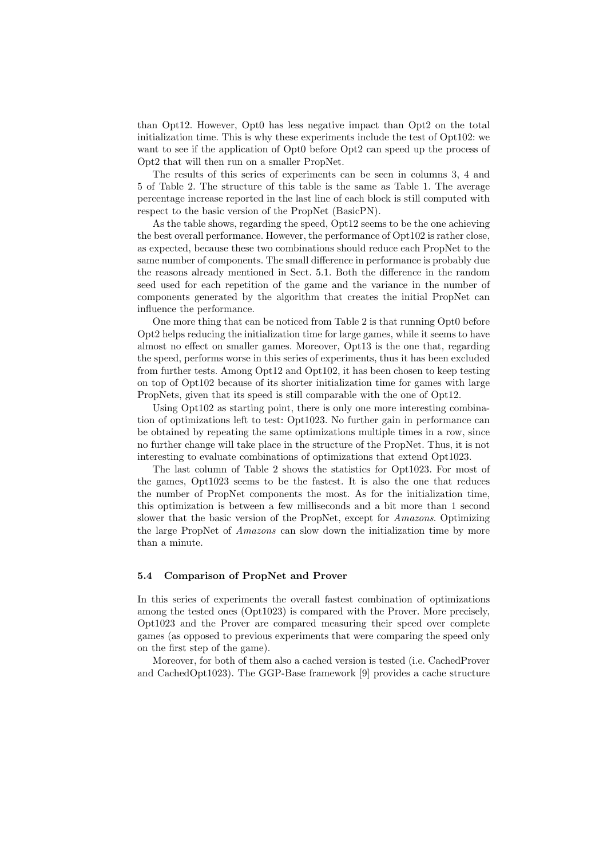than Opt12. However, Opt0 has less negative impact than Opt2 on the total initialization time. This is why these experiments include the test of Opt102: we want to see if the application of Opt0 before Opt2 can speed up the process of Opt2 that will then run on a smaller PropNet.

The results of this series of experiments can be seen in columns 3, 4 and 5 of Table 2. The structure of this table is the same as Table 1. The average percentage increase reported in the last line of each block is still computed with respect to the basic version of the PropNet (BasicPN).

As the table shows, regarding the speed, Opt12 seems to be the one achieving the best overall performance. However, the performance of Opt102 is rather close, as expected, because these two combinations should reduce each PropNet to the same number of components. The small difference in performance is probably due the reasons already mentioned in Sect. 5.1. Both the difference in the random seed used for each repetition of the game and the variance in the number of components generated by the algorithm that creates the initial PropNet can influence the performance.

One more thing that can be noticed from Table 2 is that running Opt0 before Opt2 helps reducing the initialization time for large games, while it seems to have almost no effect on smaller games. Moreover, Opt13 is the one that, regarding the speed, performs worse in this series of experiments, thus it has been excluded from further tests. Among Opt12 and Opt102, it has been chosen to keep testing on top of Opt102 because of its shorter initialization time for games with large PropNets, given that its speed is still comparable with the one of Opt12.

Using Opt102 as starting point, there is only one more interesting combination of optimizations left to test: Opt1023. No further gain in performance can be obtained by repeating the same optimizations multiple times in a row, since no further change will take place in the structure of the PropNet. Thus, it is not interesting to evaluate combinations of optimizations that extend Opt1023.

The last column of Table 2 shows the statistics for Opt1023. For most of the games, Opt1023 seems to be the fastest. It is also the one that reduces the number of PropNet components the most. As for the initialization time, this optimization is between a few milliseconds and a bit more than 1 second slower that the basic version of the PropNet, except for *Amazons*. Optimizing the large PropNet of *Amazons* can slow down the initialization time by more than a minute.

## **5.4 Comparison of PropNet and Prover**

In this series of experiments the overall fastest combination of optimizations among the tested ones (Opt1023) is compared with the Prover. More precisely, Opt1023 and the Prover are compared measuring their speed over complete games (as opposed to previous experiments that were comparing the speed only on the first step of the game).

Moreover, for both of them also a cached version is tested (i.e. CachedProver and CachedOpt1023). The GGP-Base framework [9] provides a cache structure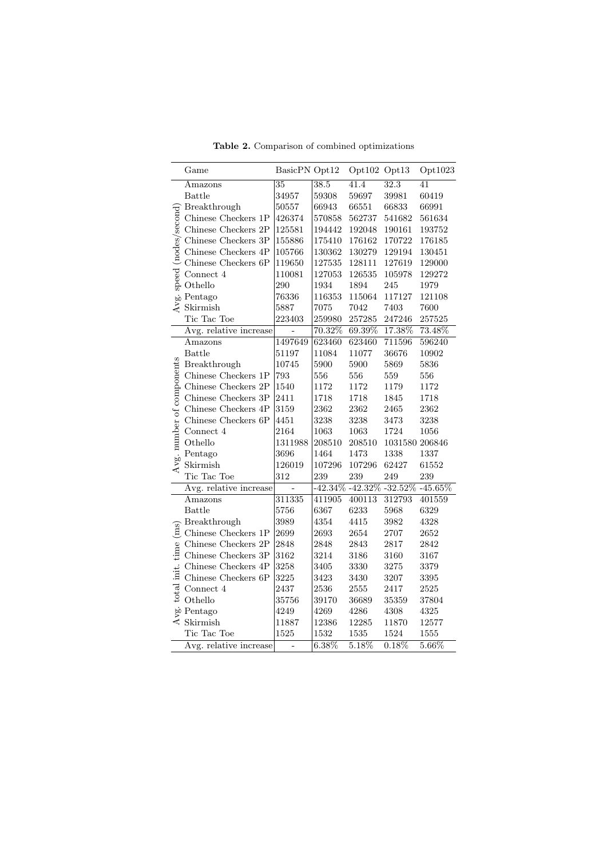|                           | Game                     | BasicPN Opt12   |           | Opt102 Opt13 |                                             | Opt1023  |
|---------------------------|--------------------------|-----------------|-----------|--------------|---------------------------------------------|----------|
|                           | Amazons                  | $\overline{35}$ | 38.5      | 41.4         | $\overline{32.3}$                           | 41       |
|                           | <b>Battle</b>            | 34957           | 59308     | 59697        | 39981                                       | 60419    |
| speed (nodes/second)      | Breakthrough             | 50557           | 66943     | 66551        | 66833                                       | 66991    |
|                           | Chinese Checkers 1P      | 426374          | 570858    | 562737       | 541682                                      | 561634   |
|                           | Chinese Checkers 2P      | 125581          | 194442    | 192048       | 190161                                      | 193752   |
|                           | Chinese Checkers 3P      | 155886          | 175410    | 176162       | 170722                                      | 176185   |
|                           | Chinese Checkers 4P      | 105766          | 130362    | 130279       | 129194                                      | 130451   |
|                           | Chinese Checkers 6P      | 119650          | 127535    | 128111       | 127619                                      | 129000   |
|                           | Connect $4\,$            | 110081          | 127053    | 126535       | 105978                                      | 129272   |
|                           | Othello                  | 290             | 1934      | 1894         | 245                                         | 1979     |
|                           | Pentago                  | 76336           | 116353    | 115064       | 117127                                      | 121108   |
| Avg.                      | Skirmish                 | 5887            | 7075      | 7042         | 7403                                        | 7600     |
|                           | Tic Tac Toe              | 223403          | 259980    | 257285       | 247246                                      | 257525   |
|                           | Avg. relative increase   |                 | $70.32\%$ | 69.39%       | 17.38%                                      | 73.48%   |
|                           | Amazons                  | 1497649         | 623460    | 623460       | 711596                                      | 596240   |
|                           | <b>Battle</b>            | 51197           | 11084     | 11077        | 36676                                       | 10902    |
|                           | Breakthrough             | 10745           | 5900      | 5900         | 5869                                        | 5836     |
|                           | Chinese Checkers 1P      | 793             | 556       | 556          | 559                                         | 556      |
|                           | Chinese Checkers 2P      | 1540            | 1172      | 1172         | 1179                                        | 1172     |
|                           | Chinese Checkers 3P      | 2411            | 1718      | 1718         | 1845                                        | 1718     |
|                           | Chinese Checkers 4P      | 3159            | 2362      | 2362         | 2465                                        | 2362     |
| Avg. number of components | Chinese Checkers 6P      | 4451            | 3238      | 3238         | 3473                                        | 3238     |
|                           | Connect 4                | 2164            | 1063      | 1063         | 1724                                        | 1056     |
|                           | Othello                  | 1311988         | 208510    | 208510       | 1031580 206846                              |          |
|                           | Pentago                  | 3696            | 1464      | 1473         | 1338                                        | 1337     |
|                           | Skirmish                 | 126019          | 107296    | 107296       | 62427                                       | 61552    |
|                           | Tic Tac Toe              | 312             | 239       | 239          | 249                                         | 239      |
|                           | Avg. relative increase   | L,              |           |              | $-42.34\%$ $-42.32\%$ $-32.52\%$ $-45.65\%$ |          |
|                           | Amazons                  | 311335          | 411905    | 400113       | 312793                                      | 401559   |
|                           | <b>Battle</b>            | 5756            | 6367      | 6233         | 5968                                        | 6329     |
|                           | Breakthrough             | 3989            | 4354      | 4415         | 3982                                        | 4328     |
| (ms)                      | Chinese Checkers 1P      | 2699            | $2693\,$  | 2654         | 2707                                        | 2652     |
|                           | Chinese Checkers 2P      | 2848            | 2848      | 2843         | 2817                                        | 2842     |
| time                      | Chinese Checkers 3P      | 3162            | 3214      | 3186         | 3160                                        | 3167     |
|                           | Chinese Checkers 4P      | 3258            | 3405      | 3330         | 3275                                        | 3379     |
| init.                     | Chinese Checkers 6P      | 3225            | 3423      | 3430         | 3207                                        | 3395     |
|                           | Connect 4                | 2437            | 2536      | $2555\,$     | 2417                                        | 2525     |
| total                     | Othello                  | 35756           | 39170     | 36689        | 35359                                       | 37804    |
|                           | só Pentago<br>∢ Skirmish | 4249            | 4269      | 4286         | 4308                                        | 4325     |
|                           | Skirmish                 | 11887           | 12386     | 12285        | 11870                                       | 12577    |
|                           | Tic Tac Toe              | 1525            | 1532      | 1535         | 1524                                        | 1555     |
|                           | Avg. relative increase   | $\overline{a}$  | $6.38\%$  | 5.18%        | $0.18\%$                                    | $5.66\%$ |

**Table 2.** Comparison of combined optimizations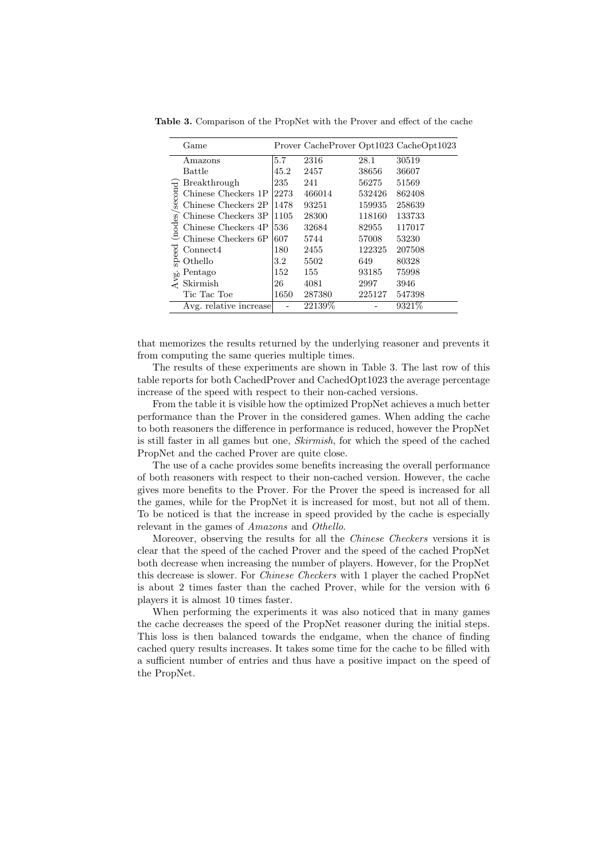|                | Game                   |         |         |        | Prover CacheProver Opt1023 CacheOpt1023 |
|----------------|------------------------|---------|---------|--------|-----------------------------------------|
|                | Amazons                | 5.7     | 2316    | 28.1   | 30519                                   |
|                | Battle                 | 45.2    | 2457    | 38656  | 36607                                   |
|                | Breakthrough           | 235     | 241     | 56275  | 51569                                   |
| second)        | Chinese Checkers 1P    | 2273    | 466014  | 532426 | 862408                                  |
|                | Chinese Checkers 2P    | 1478    | 93251   | 159935 | 258639                                  |
| $\mathbf{e}$ s | Chinese Checkers 3P    | 1105    | 28300   | 118160 | 133733                                  |
| nod)           | Chinese Checkers 4P    | 536     | 32684   | 82955  | 117017                                  |
|                | Chinese Checkers 6P    | 607     | 5744    | 57008  | 53230                                   |
| speed          | Connect4               | 180     | 2455    | 122325 | 207508                                  |
|                | Othello                | $3.2\,$ | 5502    | 649    | 80328                                   |
|                | Pentago                | 152     | 155     | 93185  | 75998                                   |
| Avg.           | Skirmish               | 26      | 4081    | 2997   | 3946                                    |
|                | Tic Tac Toe            | 1650    | 287380  | 225127 | 547398                                  |
|                | Avg. relative increase |         | 22139\% |        | 9321\%                                  |

**Table 3.** Comparison of the PropNet with the Prover and effect of the cache

that memorizes the results returned by the underlying reasoner and prevents it from computing the same queries multiple times.

The results of these experiments are shown in Table 3. The last row of this table reports for both CachedProver and CachedOpt1023 the average percentage increase of the speed with respect to their non-cached versions.

From the table it is visible how the optimized PropNet achieves a much better performance than the Prover in the considered games. When adding the cache to both reasoners the difference in performance is reduced, however the PropNet is still faster in all games but one, *Skirmish*, for which the speed of the cached PropNet and the cached Prover are quite close.

The use of a cache provides some benefits increasing the overall performance of both reasoners with respect to their non-cached version. However, the cache gives more benefits to the Prover. For the Prover the speed is increased for all the games, while for the PropNet it is increased for most, but not all of them. To be noticed is that the increase in speed provided by the cache is especially relevant in the games of *Amazons* and *Othello*.

Moreover, observing the results for all the *Chinese Checkers* versions it is clear that the speed of the cached Prover and the speed of the cached PropNet both decrease when increasing the number of players. However, for the PropNet this decrease is slower. For *Chinese Checkers* with 1 player the cached PropNet is about 2 times faster than the cached Prover, while for the version with 6 players it is almost 10 times faster.

When performing the experiments it was also noticed that in many games the cache decreases the speed of the PropNet reasoner during the initial steps. This loss is then balanced towards the endgame, when the chance of finding cached query results increases. It takes some time for the cache to be filled with a sufficient number of entries and thus have a positive impact on the speed of the PropNet.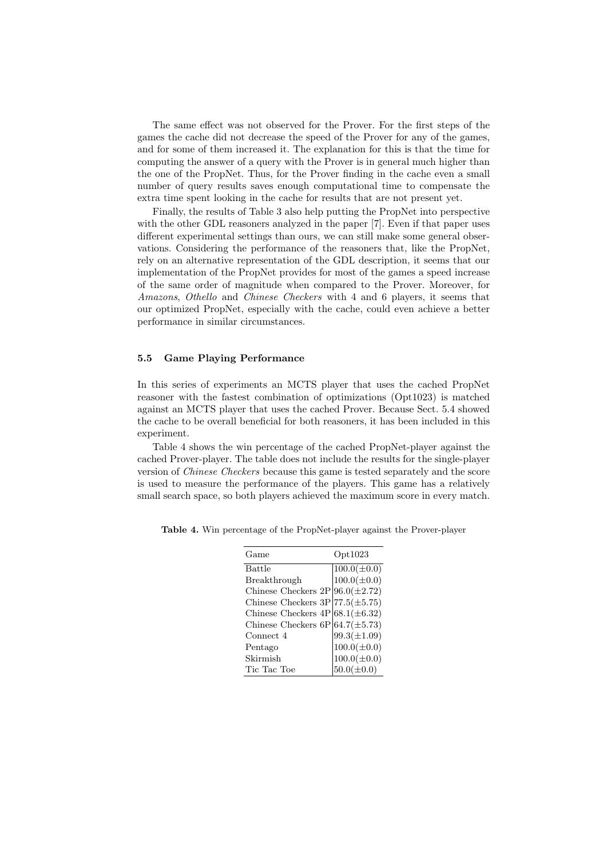The same effect was not observed for the Prover. For the first steps of the games the cache did not decrease the speed of the Prover for any of the games, and for some of them increased it. The explanation for this is that the time for computing the answer of a query with the Prover is in general much higher than the one of the PropNet. Thus, for the Prover finding in the cache even a small number of query results saves enough computational time to compensate the extra time spent looking in the cache for results that are not present yet.

Finally, the results of Table 3 also help putting the PropNet into perspective with the other GDL reasoners analyzed in the paper  $[7]$ . Even if that paper uses different experimental settings than ours, we can still make some general observations. Considering the performance of the reasoners that, like the PropNet, rely on an alternative representation of the GDL description, it seems that our implementation of the PropNet provides for most of the games a speed increase of the same order of magnitude when compared to the Prover. Moreover, for *Amazons*, *Othello* and *Chinese Checkers* with 4 and 6 players, it seems that our optimized PropNet, especially with the cache, could even achieve a better performance in similar circumstances.

#### **5.5 Game Playing Performance**

In this series of experiments an MCTS player that uses the cached PropNet reasoner with the fastest combination of optimizations (Opt1023) is matched against an MCTS player that uses the cached Prover. Because Sect. 5.4 showed the cache to be overall beneficial for both reasoners, it has been included in this experiment.

Table 4 shows the win percentage of the cached PropNet-player against the cached Prover-player. The table does not include the results for the single-player version of *Chinese Checkers* because this game is tested separately and the score is used to measure the performance of the players. This game has a relatively small search space, so both players achieved the maximum score in every match.

**Table 4.** Win percentage of the PropNet-player against the Prover-player

| Game                                 | Opt1023          |
|--------------------------------------|------------------|
| Battle                               | $100.0(\pm 0.0)$ |
| Breakthrough                         | $100.0(\pm 0.0)$ |
| Chinese Checkers $2P 96.0(\pm 2.72)$ |                  |
| Chinese Checkers $3P 77.5(\pm 5.75)$ |                  |
| Chinese Checkers $4P 68.1(\pm 6.32)$ |                  |
| Chinese Checkers $6P 64.7(\pm 5.73)$ |                  |
| Connect 4                            | $99.3(\pm 1.09)$ |
| Pentago                              | $100.0(\pm 0.0)$ |
| Skirmish                             | $100.0(\pm 0.0)$ |
| Tic Tac Toe                          | $50.0(\pm 0.0)$  |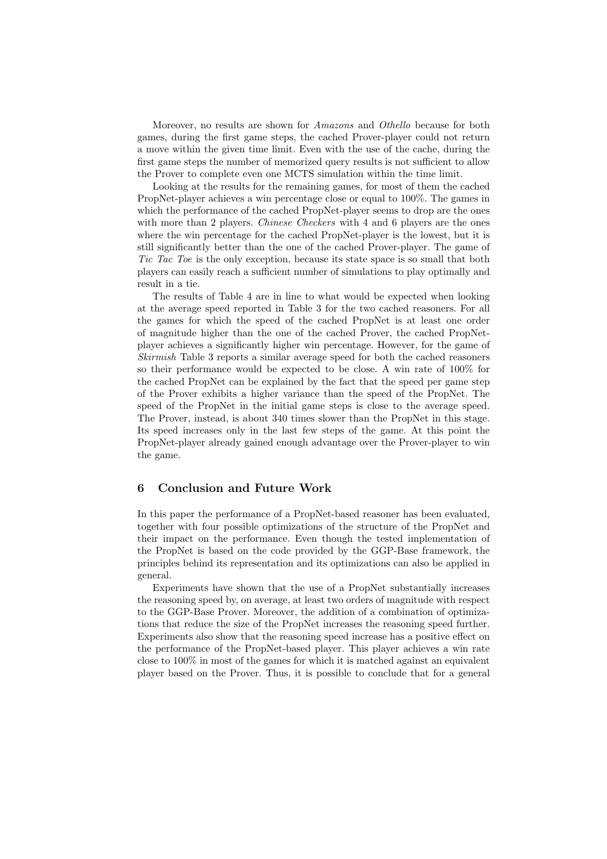Moreover, no results are shown for *Amazons* and *Othello* because for both games, during the first game steps, the cached Prover-player could not return a move within the given time limit. Even with the use of the cache, during the first game steps the number of memorized query results is not sufficient to allow the Prover to complete even one MCTS simulation within the time limit.

Looking at the results for the remaining games, for most of them the cached PropNet-player achieves a win percentage close or equal to 100%. The games in which the performance of the cached PropNet-player seems to drop are the ones with more than 2 players. *Chinese Checkers* with 4 and 6 players are the ones where the win percentage for the cached PropNet-player is the lowest, but it is still significantly better than the one of the cached Prover-player. The game of *Tic Tac Toe* is the only exception, because its state space is so small that both players can easily reach a sufficient number of simulations to play optimally and result in a tie.

The results of Table 4 are in line to what would be expected when looking at the average speed reported in Table 3 for the two cached reasoners. For all the games for which the speed of the cached PropNet is at least one order of magnitude higher than the one of the cached Prover, the cached PropNetplayer achieves a significantly higher win percentage. However, for the game of *Skirmish* Table 3 reports a similar average speed for both the cached reasoners so their performance would be expected to be close. A win rate of 100% for the cached PropNet can be explained by the fact that the speed per game step of the Prover exhibits a higher variance than the speed of the PropNet. The speed of the PropNet in the initial game steps is close to the average speed. The Prover, instead, is about 340 times slower than the PropNet in this stage. Its speed increases only in the last few steps of the game. At this point the PropNet-player already gained enough advantage over the Prover-player to win the game.

# **6 Conclusion and Future Work**

In this paper the performance of a PropNet-based reasoner has been evaluated, together with four possible optimizations of the structure of the PropNet and their impact on the performance. Even though the tested implementation of the PropNet is based on the code provided by the GGP-Base framework, the principles behind its representation and its optimizations can also be applied in general.

Experiments have shown that the use of a PropNet substantially increases the reasoning speed by, on average, at least two orders of magnitude with respect to the GGP-Base Prover. Moreover, the addition of a combination of optimizations that reduce the size of the PropNet increases the reasoning speed further. Experiments also show that the reasoning speed increase has a positive effect on the performance of the PropNet-based player. This player achieves a win rate close to 100% in most of the games for which it is matched against an equivalent player based on the Prover. Thus, it is possible to conclude that for a general